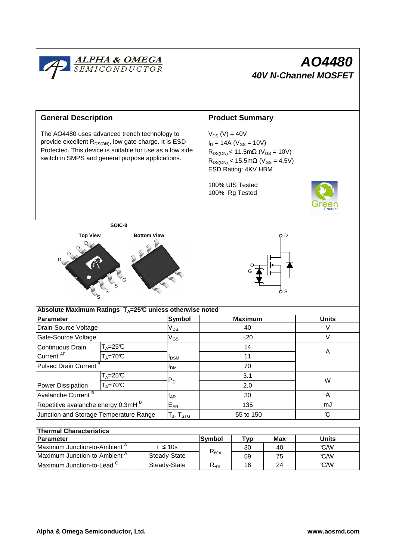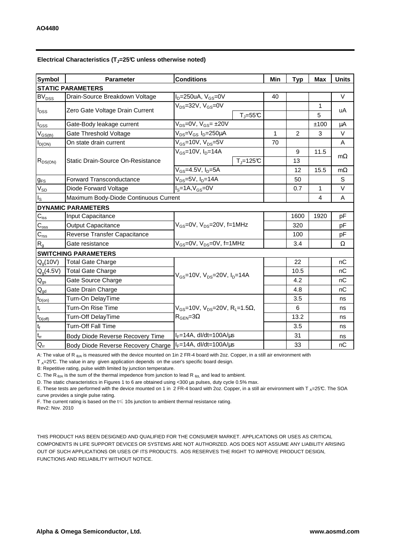| Electrical Characteristics ( $T_J$ =25°C unless otherwise noted) |  |  |
|------------------------------------------------------------------|--|--|
|------------------------------------------------------------------|--|--|

| <b>Symbol</b>                            | <b>Parameter</b>                      | <b>Conditions</b>                                                                          | Min         | <b>Typ</b> | <b>Max</b>     | <b>Units</b> |           |  |  |
|------------------------------------------|---------------------------------------|--------------------------------------------------------------------------------------------|-------------|------------|----------------|--------------|-----------|--|--|
| <b>STATIC PARAMETERS</b>                 |                                       |                                                                                            |             |            |                |              |           |  |  |
| <b>BV</b> <sub>DSS</sub>                 | Drain-Source Breakdown Voltage        | $I_D = 250uA$ , $V_{GS} = 0V$                                                              |             | 40         |                |              | $\vee$    |  |  |
| $I_{\text{DSS}}$                         | Zero Gate Voltage Drain Current       | $V_{DS} = 32V$ , $V_{GS} = 0V$                                                             |             |            |                | 1            | uA        |  |  |
|                                          |                                       |                                                                                            | $T_J = 55C$ |            |                | 5            |           |  |  |
| l <sub>GSS</sub>                         | Gate-Body leakage current             | $V_{DS} = 0V$ , $V_{GS} = \pm 20V$                                                         |             |            |                | ±100         | μA        |  |  |
| $V_{GS(th)}$                             | Gate Threshold Voltage                | $V_{DS} = V_{GS} I_D = 250 \mu A$                                                          |             | 1          | $\overline{2}$ | 3            | $\vee$    |  |  |
| $I_{D(ON)}$                              | On state drain current                | $\rm V_{GS}$ =10V, V $\rm_{DS}$ =5V                                                        |             | 70         |                |              | Α         |  |  |
| $R_{DS(ON)}$                             | Static Drain-Source On-Resistance     | $V_{GS}$ =10V, $I_{D}$ =14A                                                                |             |            | 9              | 11.5         | $m\Omega$ |  |  |
|                                          |                                       |                                                                                            | $Tj=125C$   |            | 13             |              |           |  |  |
|                                          |                                       | $V_{GS}$ =4.5V, $I_D$ =5A                                                                  |             |            | 12             | 15.5         | $m\Omega$ |  |  |
| $g_{FS}$                                 | <b>Forward Transconductance</b>       | $V_{DS}=5V$ , $I_{D}=14A$                                                                  |             |            | 50             |              | S         |  |  |
| $V_{SD}$                                 | Diode Forward Voltage                 | $IS=1A, VGS=0V$                                                                            |             |            | 0.7            | 1            | V         |  |  |
| $I_{\rm S}$                              | Maximum Body-Diode Continuous Current |                                                                                            |             |            |                | 4            | A         |  |  |
|                                          | <b>DYNAMIC PARAMETERS</b>             |                                                                                            |             |            |                |              |           |  |  |
| $C_{\text{iss}}$                         | Input Capacitance                     | $V_{GS}$ =0V, $V_{DS}$ =20V, f=1MHz                                                        |             |            | 1600           | 1920         | pF        |  |  |
| $\mathsf{C}_{\mathrm{oss}}$              | <b>Output Capacitance</b>             |                                                                                            |             |            | 320            |              | pF        |  |  |
| $C_{\rm rss}$                            | Reverse Transfer Capacitance          |                                                                                            |             |            | 100            |              | pF        |  |  |
| $R_{q}$                                  | Gate resistance                       | $V_{GS}$ =0V, $V_{DS}$ =0V, f=1MHz                                                         |             | 3.4        |                | Ω            |           |  |  |
| <b>SWITCHING PARAMETERS</b>              |                                       |                                                                                            |             |            |                |              |           |  |  |
| $Q_q(10V)$                               | <b>Total Gate Charge</b>              | $V_{GS}$ =10V, $V_{DS}$ =20V, $I_{D}$ =14A                                                 |             |            | 22             |              | nC        |  |  |
| $Q_g(4.5V)$                              | <b>Total Gate Charge</b>              |                                                                                            |             |            | 10.5           |              | nC        |  |  |
| $Q_{gs}$                                 | Gate Source Charge                    |                                                                                            |             |            | 4.2            |              | nC        |  |  |
| $Q_{gd}$                                 | Gate Drain Charge                     |                                                                                            |             |            | 4.8            |              | nC        |  |  |
| $\mathfrak{t}_{\mathsf{D}(\mathsf{on})}$ | Turn-On DelayTime                     | $V_{GS}$ =10V, $V_{DS}$ =20V, R <sub>L</sub> =1.5 $\Omega$ ,<br>$R_{\text{GEN}} = 3\Omega$ |             |            | 3.5            |              | ns        |  |  |
| $t_r$                                    | Turn-On Rise Time                     |                                                                                            |             |            | 6              |              | ns        |  |  |
| $t_{D(off)}$                             | Turn-Off DelayTime                    |                                                                                            |             |            | 13.2           |              | ns        |  |  |
| $\mathfrak{t}_{\mathfrak{f}}$            | <b>Turn-Off Fall Time</b>             |                                                                                            |             |            | 3.5            |              | ns        |  |  |
| $t_{rr}$                                 | Body Diode Reverse Recovery Time      | $I_F = 14A$ , dl/dt=100A/ $\mu$ s                                                          |             |            | 31             |              | ns        |  |  |
| $Q_{rr}$                                 | Body Diode Reverse Recovery Charge    | $I_F = 14A$ , dl/dt=100A/us                                                                |             |            | 33             |              | nC        |  |  |

A: The value of R <sub>θJA</sub> is measured with the device mounted on 1in 2 FR-4 board with 2oz. Copper, in a still air environment with

 $T_A=25^{\circ}C$ . The value in any given application depends on the user's specific board design.

B: Repetitive rating, pulse width limited by junction temperature.

C. The R<sub>θJA</sub> is the sum of the thermal impedence from junction to lead R  $_{\theta$ JL and lead to ambient.

D. The static characteristics in Figures 1 to 6 are obtained using <300 µs pulses, duty cycle 0.5% max.

E. These tests are performed with the device mounted on 1 in 2 FR-4 board with 2oz. Copper, in a still air environment with T  $_A=25^{\circ}$ C. The SOA curve provides a single pulse rating.

F. The current rating is based on the t≤ 10s junction to ambient thermal resistance rating.

Rev2: Nov. 2010

THIS PRODUCT HAS BEEN DESIGNED AND QUALIFIED FOR THE CONSUMER MARKET. APPLICATIONS OR USES AS CRITICAL COMPONENTS IN LIFE SUPPORT DEVICES OR SYSTEMS ARE NOT AUTHORIZED. AOS DOES NOT ASSUME ANY LIABILITY ARISING OUT OF SUCH APPLICATIONS OR USES OF ITS PRODUCTS. AOS RESERVES THE RIGHT TO IMPROVE PRODUCT DESIGN, FUNCTIONS AND RELIABILITY WITHOUT NOTICE.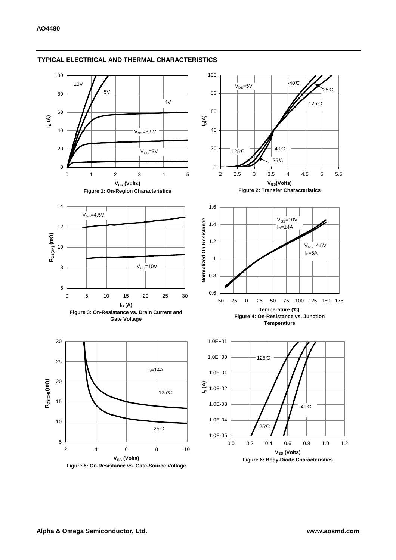

## **TYPICAL ELECTRICAL AND THERMAL CHARACTERISTICS**